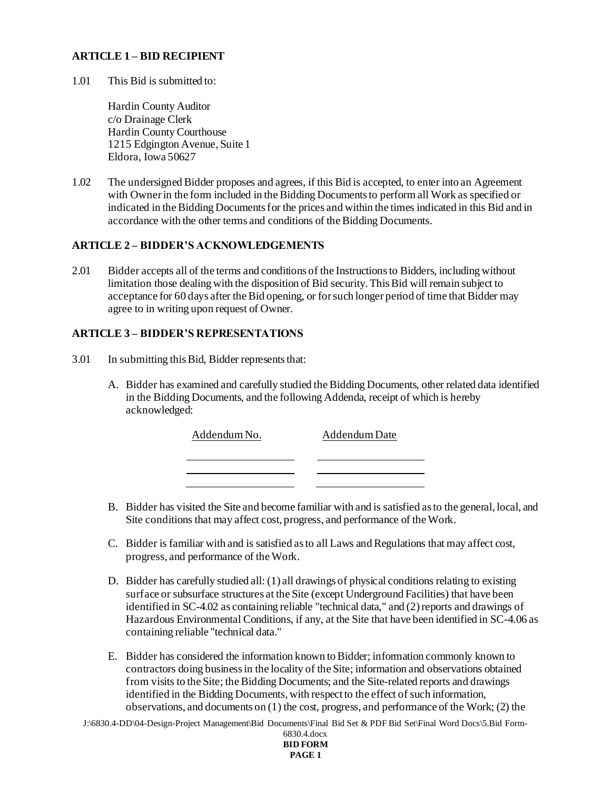# **ARTICLE 1 – BID RECIPIENT**

1.01 This Bid is submitted to:

Hardin County Auditor c/o Drainage Clerk Hardin County Courthouse 1215 Edgington Avenue, Suite 1 Eldora, Iowa 50627

1.02 The undersigned Bidder proposes and agrees, if this Bid is accepted, to enter into an Agreement with Owner in the form included in the Bidding Documents to perform all Work as specified or indicated in the Bidding Documents for the prices and within the times indicated in this Bid and in accordance with the other terms and conditions of the Bidding Documents.

# **ARTICLE 2 – BIDDER'S ACKNOWLEDGEMENTS**

2.01 Bidder accepts all of the terms and conditions of the Instructions to Bidders, including without limitation those dealing with the disposition of Bid security. This Bid will remain subject to acceptance for 60 days after the Bid opening, or for such longer period of time that Bidder may agree to in writing upon request of Owner.

#### **ARTICLE 3 – BIDDER'S REPRESENTATIONS**

- 3.01 In submitting this Bid, Bidder represents that:
	- A. Bidder has examined and carefully studied the Bidding Documents, other related data identified in the Bidding Documents, and the following Addenda, receipt of which is hereby acknowledged:

| Addendum No. | Addendum Date |
|--------------|---------------|
|              |               |
|              |               |
|              |               |

- B. Bidder has visited the Site and become familiar with and is satisfied as to the general, local, and Site conditions that may affect cost, progress, and performance of the Work.
- C. Bidder is familiar with and is satisfied as to all Laws and Regulations that may affect cost, progress, and performance of the Work.
- D. Bidder has carefully studied all: (1) all drawings of physical conditions relating to existing surface or subsurface structures at the Site (except Underground Facilities) that have been identified in SC-4.02 as containing reliable "technical data," and (2) reports and drawings of Hazardous Environmental Conditions, if any, at the Site that have been identified in SC-4.06 as containing reliable "technical data."
- E. Bidder has considered the information known to Bidder; information commonly known to contractors doing business in the locality of the Site; information and observations obtained from visits to the Site; the Bidding Documents; and the Site-related reports and drawings identified in the Bidding Documents, with respect to the effect of such information, observations, and documents on (1) the cost, progress, and performance of the Work; (2) the

J:\6830.4-DD\04-Design-Project Management\Bid Documents\Final Bid Set & PDF Bid Set\Final Word Docs\5.Bid Form-6830.4.docx

| 6830.4.docx     |
|-----------------|
| <b>BID FORM</b> |
| PAGE 1          |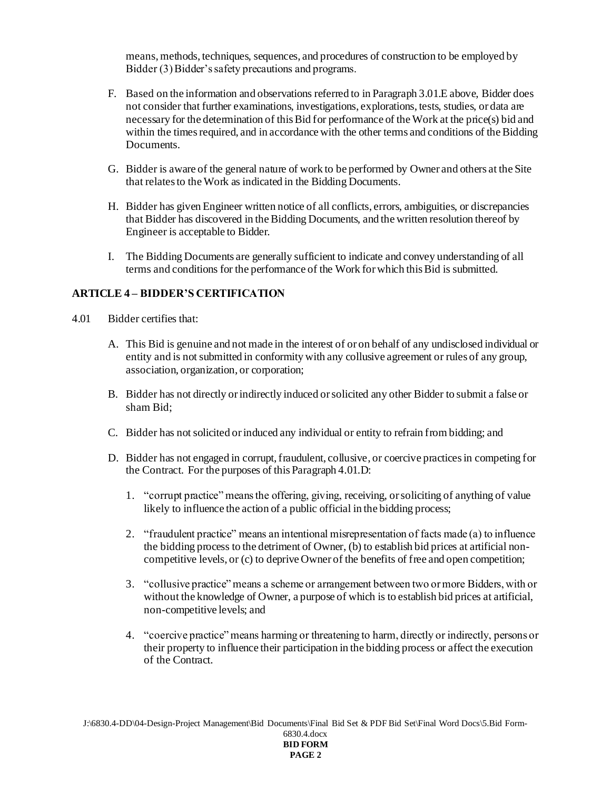means, methods, techniques, sequences, and procedures of construction to be employed by Bidder (3) Bidder's safety precautions and programs.

- F. Based on the information and observations referred to in Paragraph 3.01.E above, Bidder does not consider that further examinations, investigations, explorations, tests, studies, or data are necessary for the determination of this Bid for performance of the Work at the price(s) bid and within the times required, and in accordance with the other terms and conditions of the Bidding Documents.
- G. Bidder is aware of the general nature of work to be performed by Owner and others at the Site that relates to the Work as indicated in the Bidding Documents.
- H. Bidder has given Engineer written notice of all conflicts, errors, ambiguities, or discrepancies that Bidder has discovered in the Bidding Documents, and the written resolution thereof by Engineer is acceptable to Bidder.
- I. The Bidding Documents are generally sufficient to indicate and convey understanding of all terms and conditions for the performance of the Work for which this Bid is submitted.

# **ARTICLE 4 – BIDDER'S CERTIFICATION**

- 4.01 Bidder certifies that:
	- A. This Bid is genuine and not made in the interest of or on behalf of any undisclosed individual or entity and is not submitted in conformity with any collusive agreement or rules of any group, association, organization, or corporation;
	- B. Bidder has not directly or indirectly induced or solicited any other Bidder to submit a false or sham Bid;
	- C. Bidder has not solicited or induced any individual or entity to refrain from bidding; and
	- D. Bidder has not engaged in corrupt, fraudulent, collusive, or coercive practices in competing for the Contract. For the purposes of this Paragraph 4.01.D:
		- 1. "corrupt practice" means the offering, giving, receiving, or soliciting of anything of value likely to influence the action of a public official in the bidding process;
		- 2. "fraudulent practice" means an intentional misrepresentation of facts made (a) to influence the bidding process to the detriment of Owner, (b) to establish bid prices at artificial noncompetitive levels, or (c) to deprive Owner of the benefits of free and open competition;
		- 3. "collusive practice" means a scheme or arrangement between two or more Bidders, with or without the knowledge of Owner, a purpose of which is to establish bid prices at artificial, non-competitive levels; and
		- 4. "coercive practice" means harming or threatening to harm, directly or indirectly, persons or their property to influence their participation in the bidding process or affect the execution of the Contract.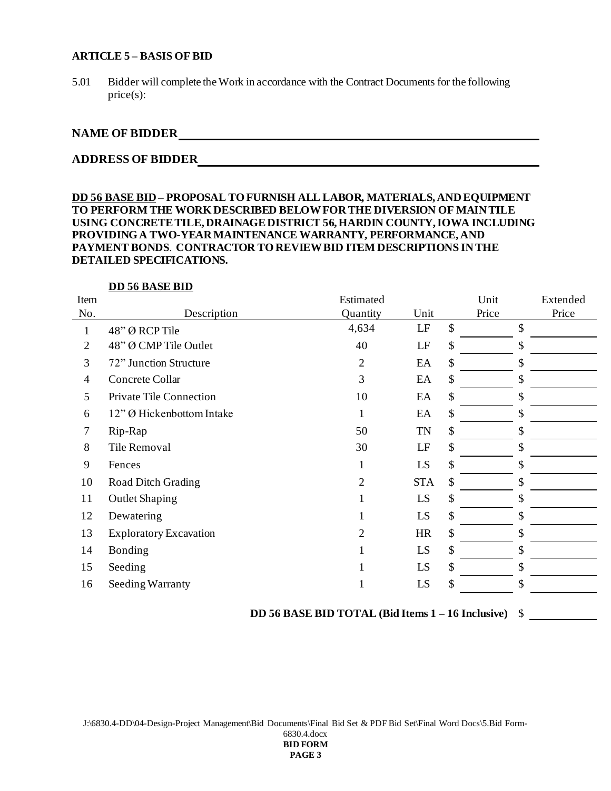#### **ARTICLE 5 – BASIS OF BID**

5.01 Bidder will complete the Work in accordance with the Contract Documents for the following price(s):

# **NAME OF BIDDER**

# **ADDRESS OF BIDDER**

# **DD 56 BASE BID – PROPOSAL TO FURNISH ALL LABOR, MATERIALS, AND EQUIPMENT TO PERFORM THE WORK DESCRIBED BELOW FOR THE DIVERSION OF MAIN TILE USING CONCRETE TILE, DRAINAGE DISTRICT 56, HARDIN COUNTY, IOWA INCLUDING PROVIDING A TWO-YEAR MAINTENANCE WARRANTY, PERFORMANCE, AND PAYMENT BONDS**. **CONTRACTOR TO REVIEW BID ITEM DESCRIPTIONS IN THE DETAILED SPECIFICATIONS.**

#### **DD 56 BASE BID**

|                               | Estimated      |            | Unit  | Extended |
|-------------------------------|----------------|------------|-------|----------|
| Description                   | Quantity       | Unit       | Price | Price    |
| 48" Ø RCP Tile                | 4,634          | LF         | \$    | \$       |
| 48" Ø CMP Tile Outlet         | 40             | LF         | \$    | \$       |
| 72" Junction Structure        | $\overline{2}$ | EA         | \$    | \$       |
| Concrete Collar               | 3              | EA         | \$    | \$       |
| Private Tile Connection       | 10             | EA         | \$    | \$       |
| 12" Ø Hickenbottom Intake     | 1              | EA         | \$    | \$       |
| Rip-Rap                       | 50             | <b>TN</b>  | \$    | \$       |
| Tile Removal                  | 30             | LF         | \$    | \$       |
| Fences                        | 1              | LS         | \$    | \$       |
| Road Ditch Grading            | $\overline{2}$ | <b>STA</b> | \$    | \$       |
| <b>Outlet Shaping</b>         |                | LS         | \$    | \$       |
| Dewatering                    |                | LS         | \$    | \$       |
| <b>Exploratory Excavation</b> | 2              | <b>HR</b>  | \$    | \$       |
| Bonding                       |                | LS         | \$    | \$       |
| Seeding                       |                | LS         | \$    | \$       |
| Seeding Warranty              |                | LS         | \$    | \$       |
|                               |                |            |       |          |

**DD 56 BASE BID TOTAL (Bid Items 1 – 16 Inclusive)** \$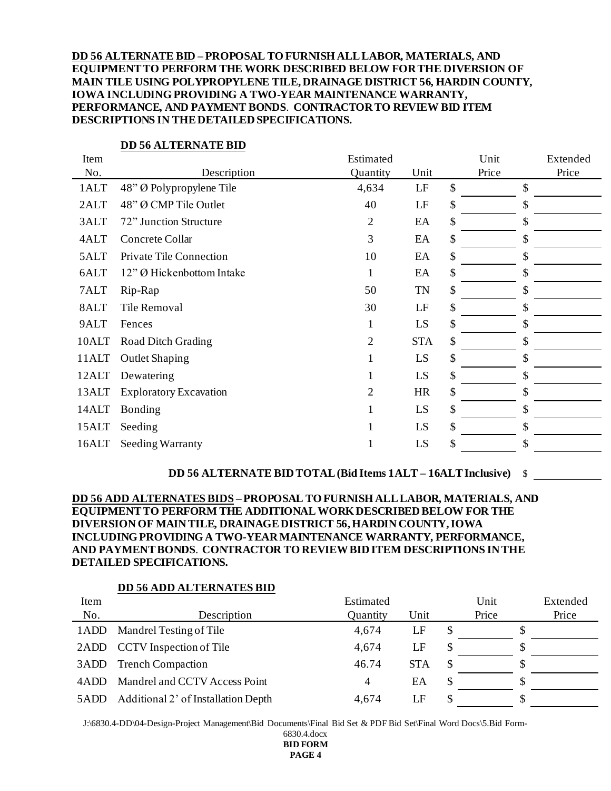**DD 56 ALTERNATE BID – PROPOSAL TO FURNISH ALL LABOR, MATERIALS, AND EQUIPMENT TO PERFORM THE WORK DESCRIBED BELOW FOR THE DIVERSION OF MAIN TILE USING POLYPROPYLENE TILE, DRAINAGE DISTRICT 56, HARDIN COUNTY, IOWA INCLUDING PROVIDING A TWO-YEAR MAINTENANCE WARRANTY, PERFORMANCE, AND PAYMENT BONDS**. **CONTRACTOR TO REVIEW BID ITEM DESCRIPTIONS IN THE DETAILED SPECIFICATIONS.**

| Item  |                               | Estimated      |            |               | Unit  | Extended |
|-------|-------------------------------|----------------|------------|---------------|-------|----------|
| No.   | Description                   | Quantity       | Unit       |               | Price | Price    |
| 1ALT  | 48" Ø Polypropylene Tile      | 4,634          | LF         | $\mathcal{S}$ |       | \$       |
| 2ALT  | 48" Ø CMP Tile Outlet         | 40             | LF         | \$            |       | \$       |
| 3ALT  | 72" Junction Structure        | $\overline{2}$ | EA         | \$            |       | \$       |
| 4ALT  | Concrete Collar               | 3              | EA         | \$            |       | \$       |
| 5ALT  | Private Tile Connection       | 10             | EA         | \$            |       | \$       |
| 6ALT  | 12" Ø Hickenbottom Intake     | 1              | EA         | \$            |       | \$       |
| 7ALT  | Rip-Rap                       | 50             | <b>TN</b>  | \$            |       | \$       |
| 8ALT  | Tile Removal                  | 30             | LF         | \$            |       | \$       |
| 9ALT  | Fences                        |                | LS         | \$            |       | \$       |
| 10ALT | Road Ditch Grading            | 2              | <b>STA</b> | \$            |       | \$       |
| 11ALT | <b>Outlet Shaping</b>         |                | LS         | \$            |       | \$       |
| 12ALT | Dewatering                    |                | LS         | \$            |       | \$       |
| 13ALT | <b>Exploratory Excavation</b> | 2              | <b>HR</b>  | \$            |       | \$       |
| 14ALT | Bonding                       |                | LS         | \$            |       | \$       |
| 15ALT | Seeding                       |                | LS         | \$            |       | \$       |
| 16ALT | <b>Seeding Warranty</b>       |                | LS         | \$            |       | \$       |

#### **DD 56 ALTERNATE BID**

#### **DD 56 ALTERNATE BID TOTAL (Bid Items 1ALT – 16ALTInclusive)** \$

# **DD 56 ADD ALTERNATES BIDS – PROPOSAL TO FURNISH ALL LABOR, MATERIALS, AND EQUIPMENT TO PERFORM THE ADDITIONAL WORK DESCRIBED BELOW FOR THE DIVERSION OF MAIN TILE, DRAINAGE DISTRICT 56, HARDIN COUNTY, IOWA INCLUDING PROVIDING A TWO-YEAR MAINTENANCE WARRANTY, PERFORMANCE, AND PAYMENT BONDS**. **CONTRACTOR TO REVIEW BID ITEM DESCRIPTIONS IN THE DETAILED SPECIFICATIONS.**

#### **DD 56 ADD ALTERNATES BID**

| Item |                                     | Estimated |            | Unit  | Extended |
|------|-------------------------------------|-----------|------------|-------|----------|
| No.  | Description                         | Quantity  | Unit       | Price | Price    |
| 1ADD | Mandrel Testing of Tile             | 4,674     | LF         |       |          |
|      | 2ADD CCTV Inspection of Tile        | 4,674     | LF         |       |          |
| 3ADD | <b>Trench Compaction</b>            | 46.74     | <b>STA</b> |       |          |
| 4ADD | Mandrel and CCTV Access Point       | 4         | EA         |       |          |
| 5ADD | Additional 2' of Installation Depth | 4,674     | LF         |       |          |

J:\6830.4-DD\04-Design-Project Management\Bid Documents\Final Bid Set & PDF Bid Set\Final Word Docs\5.Bid Form-

6830.4.docx **BID FORM PAGE 4**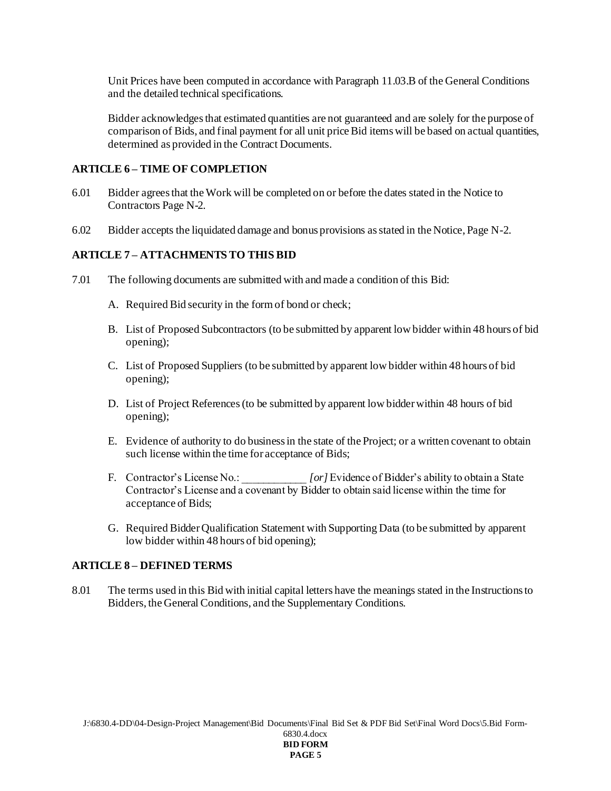Unit Prices have been computed in accordance with Paragraph 11.03.B of the General Conditions and the detailed technical specifications.

Bidder acknowledges that estimated quantities are not guaranteed and are solely for the purpose of comparison of Bids, and final payment for all unit price Bid items will be based on actual quantities, determined as provided in the Contract Documents.

#### **ARTICLE 6 – TIME OF COMPLETION**

- 6.01 Bidder agrees that the Work will be completed on or before the dates stated in the Notice to Contractors Page N-2.
- 6.02 Bidder accepts the liquidated damage and bonus provisions as stated in the Notice, Page N-2.

#### **ARTICLE 7 – ATTACHMENTS TO THIS BID**

- 7.01 The following documents are submitted with and made a condition of this Bid:
	- A. Required Bid security in the form of bond or check;
	- B. List of Proposed Subcontractors (to be submitted by apparent low bidder within 48 hours of bid opening);
	- C. List of Proposed Suppliers (to be submitted by apparent low bidder within 48 hours of bid opening);
	- D. List of Project References(to be submitted by apparent low bidder within 48 hours of bid opening);
	- E. Evidence of authority to do business in the state of the Project; or a written covenant to obtain such license within the time for acceptance of Bids;
	- F. Contractor's License No.: *[or]* Evidence of Bidder's ability to obtain a State Contractor's License and a covenant by Bidder to obtain said license within the time for acceptance of Bids;
	- G. Required Bidder Qualification Statement with Supporting Data (to be submitted by apparent low bidder within 48 hours of bid opening);

#### **ARTICLE 8 – DEFINED TERMS**

8.01 The terms used in this Bid with initial capital letters have the meanings stated in the Instructions to Bidders, the General Conditions, and the Supplementary Conditions.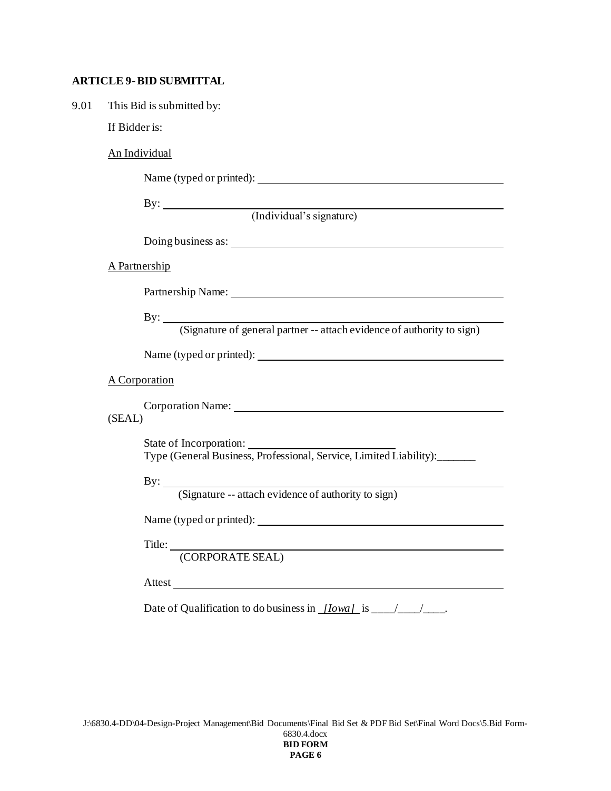# **ARTICLE 9-BID SUBMITTAL**

| 9.01 | This Bid is submitted by:                                                                                                                                                                                                      |
|------|--------------------------------------------------------------------------------------------------------------------------------------------------------------------------------------------------------------------------------|
|      | If Bidder is:                                                                                                                                                                                                                  |
|      | An Individual                                                                                                                                                                                                                  |
|      |                                                                                                                                                                                                                                |
|      | By: (Individual's signature)                                                                                                                                                                                                   |
|      |                                                                                                                                                                                                                                |
|      |                                                                                                                                                                                                                                |
|      | A Partnership                                                                                                                                                                                                                  |
|      | Partnership Name: Name and Solid School and School and School and School and School and School and School and School and School and School and School and School and School and School and School and School and School and Sc |
|      | By: <u>(Signature of general partner</u> -- attach evidence of authority to sign)                                                                                                                                              |
|      |                                                                                                                                                                                                                                |
|      | A Corporation                                                                                                                                                                                                                  |
|      | (SEAL)                                                                                                                                                                                                                         |
|      | State of Incorporation:<br>Type (General Business, Professional, Service, Limited Liability):______                                                                                                                            |
|      | By: <u>(Signature -- attach evidence of authority to sign)</u>                                                                                                                                                                 |
|      |                                                                                                                                                                                                                                |
|      | Title: <u>(CORPORATE SEAL)</u>                                                                                                                                                                                                 |
|      | Attest                                                                                                                                                                                                                         |
|      |                                                                                                                                                                                                                                |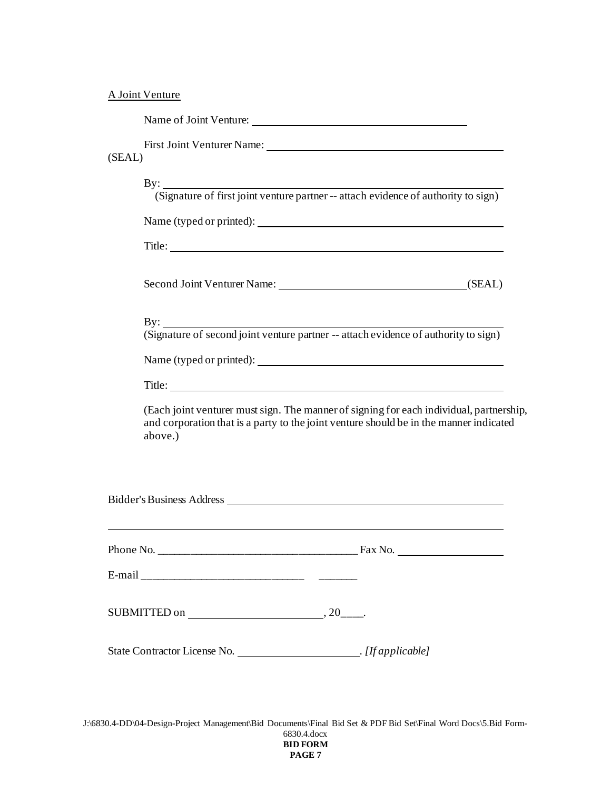# A Joint Venture

| Name of Joint Venture: |  |
|------------------------|--|
|                        |  |

First Joint Venturer Name:

# (SEAL)

| $\mathbf{By:}$                                                                                                                       | (Signature of first joint venture partner -- attach evidence of authority to sign)                                                                                                |  |  |  |  |  |  |
|--------------------------------------------------------------------------------------------------------------------------------------|-----------------------------------------------------------------------------------------------------------------------------------------------------------------------------------|--|--|--|--|--|--|
|                                                                                                                                      |                                                                                                                                                                                   |  |  |  |  |  |  |
|                                                                                                                                      |                                                                                                                                                                                   |  |  |  |  |  |  |
|                                                                                                                                      | Second Joint Venturer Name: (SEAL)                                                                                                                                                |  |  |  |  |  |  |
|                                                                                                                                      | By: Signature of second joint venture partner -- attach evidence of authority to sign)                                                                                            |  |  |  |  |  |  |
|                                                                                                                                      |                                                                                                                                                                                   |  |  |  |  |  |  |
| Title:                                                                                                                               |                                                                                                                                                                                   |  |  |  |  |  |  |
| above.)                                                                                                                              | (Each joint venturer must sign. The manner of signing for each individual, partnership,<br>and corporation that is a party to the joint venture should be in the manner indicated |  |  |  |  |  |  |
| Bidder's Business Address <b>Executed States</b><br>,我们也不会有什么。""我们的人,我们也不会有什么?""我们的人,我们也不会有什么?""我们的人,我们也不会有什么?""我们的人,我们也不会有什么?""我们的人 |                                                                                                                                                                                   |  |  |  |  |  |  |
|                                                                                                                                      |                                                                                                                                                                                   |  |  |  |  |  |  |
|                                                                                                                                      |                                                                                                                                                                                   |  |  |  |  |  |  |
|                                                                                                                                      |                                                                                                                                                                                   |  |  |  |  |  |  |
|                                                                                                                                      |                                                                                                                                                                                   |  |  |  |  |  |  |